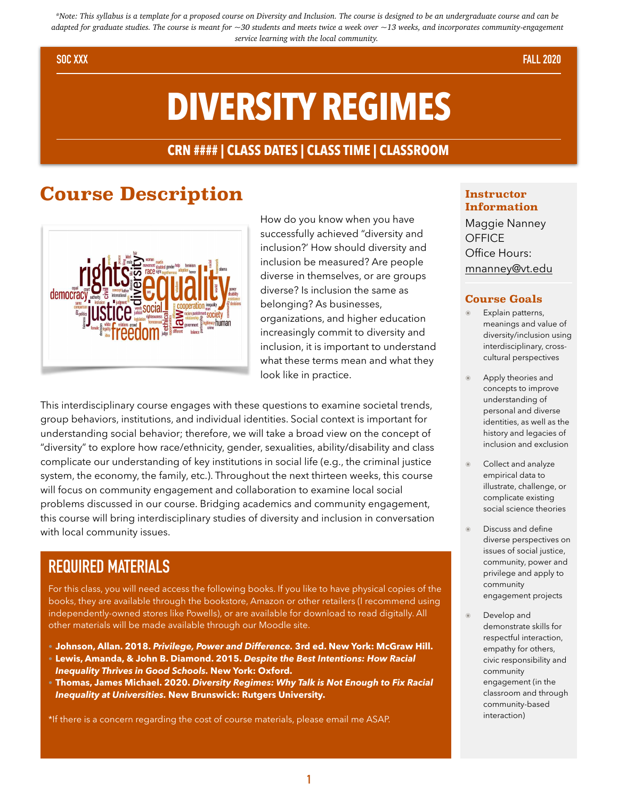*\*Note: This syllabus is a template for a proposed course on Diversity and Inclusion. The course is designed to be an undergraduate course and can be adapted for graduate studies. The course is meant for ~30 students and meets twice a week over ~13 weeks, and incorporates community-engagement service learning with the local community.*

#### **SOC XXX FALL 2020**

# **DIVERSITY REGIMES**

#### **CRN #### | CLASS DATES | CLASS TIME | CLASSROOM**

### **Course Description**



How do you know when you have successfully achieved "diversity and inclusion?' How should diversity and inclusion be measured? Are people diverse in themselves, or are groups diverse? Is inclusion the same as belonging? As businesses, organizations, and higher education increasingly commit to diversity and inclusion, it is important to understand what these terms mean and what they look like in practice.

This interdisciplinary course engages with these questions to examine societal trends, group behaviors, institutions, and individual identities. Social context is important for understanding social behavior; therefore, we will take a broad view on the concept of "diversity" to explore how race/ethnicity, gender, sexualities, ability/disability and class complicate our understanding of key institutions in social life (e.g., the criminal justice system, the economy, the family, etc.). Throughout the next thirteen weeks, this course will focus on community engagement and collaboration to examine local social problems discussed in our course. Bridging academics and community engagement, this course will bring interdisciplinary studies of diversity and inclusion in conversation with local community issues.

### **REQUIRED MATERIALS**

For this class, you will need access the following books. If you like to have physical copies of the books, they are available through the bookstore, Amazon or other retailers (I recommend using independently-owned stores like Powells), or are available for download to read digitally. All other materials will be made available through our Moodle site.

- **• Johnson, Allan. 2018.** *Privilege, Power and Difference.* **3rd ed. New York: McGraw Hill. • Lewis, Amanda, & John B. Diamond. 2015.** *Despite the Best Intentions: How Racial Inequality Thrives in Good Schools.* **New York: Oxford.**
- **• Thomas, James Michael. 2020.** *Diversity Regimes: Why Talk is Not Enough to Fix Racial Inequality at Universities.* **New Brunswick: Rutgers University.**

\*If there is a concern regarding the cost of course materials, please email me ASAP.

#### **Instructor Information**

Maggie Nanney **OFFICE** Office Hours: mnanney@vt.edu

#### **Course Goals**

- Explain patterns, meanings and value of diversity/inclusion using interdisciplinary, crosscultural perspectives
- Apply theories and concepts to improve understanding of personal and diverse identities, as well as the history and legacies of inclusion and exclusion
- Collect and analyze empirical data to illustrate, challenge, or complicate existing social science theories
- Discuss and define diverse perspectives on issues of social justice, community, power and privilege and apply to community engagement projects
- Develop and demonstrate skills for respectful interaction, empathy for others, civic responsibility and community engagement (in the classroom and through community-based interaction)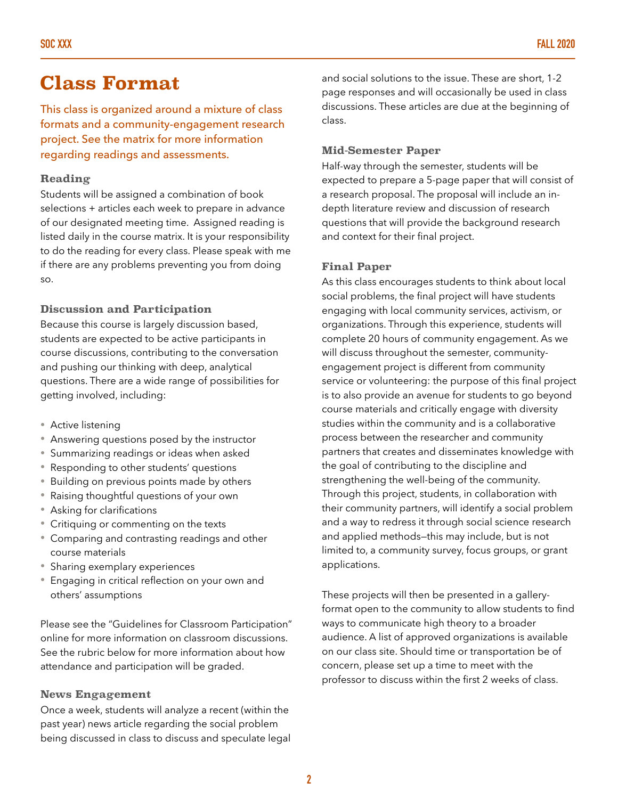### **Class Format**

This class is organized around a mixture of class formats and a community-engagement research project. See the matrix for more information regarding readings and assessments.

#### **Reading**

Students will be assigned a combination of book selections + articles each week to prepare in advance of our designated meeting time. Assigned reading is listed daily in the course matrix. It is your responsibility to do the reading for every class. Please speak with me if there are any problems preventing you from doing so.

#### **Discussion and Participation**

Because this course is largely discussion based, students are expected to be active participants in course discussions, contributing to the conversation and pushing our thinking with deep, analytical questions. There are a wide range of possibilities for getting involved, including:

- Active listening
- Answering questions posed by the instructor
- Summarizing readings or ideas when asked
- Responding to other students' questions
- Building on previous points made by others
- Raising thoughtful questions of your own
- Asking for clarifications
- Critiquing or commenting on the texts
- Comparing and contrasting readings and other course materials
- Sharing exemplary experiences
- Engaging in critical reflection on your own and others' assumptions

Please see the "Guidelines for Classroom Participation" online for more information on classroom discussions. See the rubric below for more information about how attendance and participation will be graded.

#### **News Engagement**

Once a week, students will analyze a recent (within the past year) news article regarding the social problem being discussed in class to discuss and speculate legal and social solutions to the issue. These are short, 1-2 page responses and will occasionally be used in class discussions. These articles are due at the beginning of class.

#### **Mid-Semester Paper**

Half-way through the semester, students will be expected to prepare a 5-page paper that will consist of a research proposal. The proposal will include an indepth literature review and discussion of research questions that will provide the background research and context for their final project.

#### **Final Paper**

As this class encourages students to think about local social problems, the final project will have students engaging with local community services, activism, or organizations. Through this experience, students will complete 20 hours of community engagement. As we will discuss throughout the semester, communityengagement project is different from community service or volunteering: the purpose of this final project is to also provide an avenue for students to go beyond course materials and critically engage with diversity studies within the community and is a collaborative process between the researcher and community partners that creates and disseminates knowledge with the goal of contributing to the discipline and strengthening the well-being of the community. Through this project, students, in collaboration with their community partners, will identify a social problem and a way to redress it through social science research and applied methods—this may include, but is not limited to, a community survey, focus groups, or grant applications.

These projects will then be presented in a galleryformat open to the community to allow students to find ways to communicate high theory to a broader audience. A list of approved organizations is available on our class site. Should time or transportation be of concern, please set up a time to meet with the professor to discuss within the first 2 weeks of class.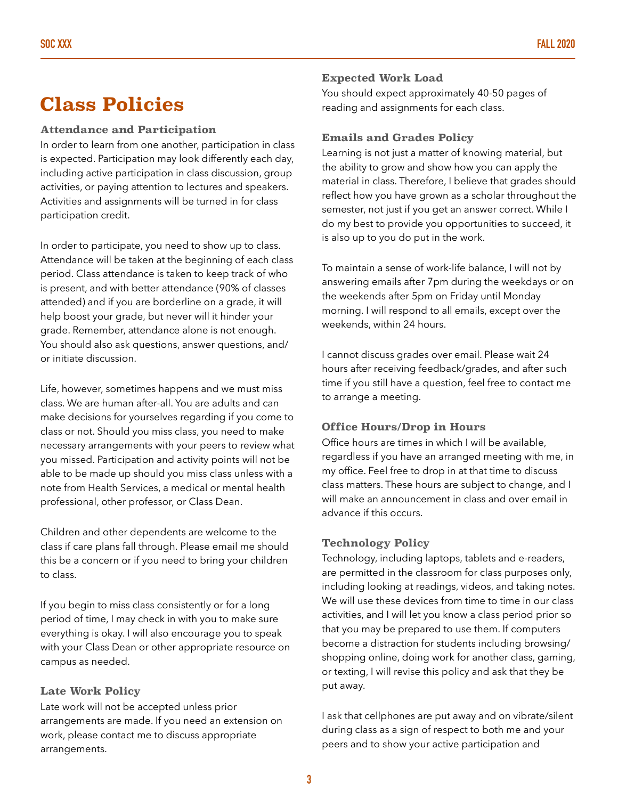### **Class Policies**

#### **Attendance and Participation**

In order to learn from one another, participation in class is expected. Participation may look differently each day, including active participation in class discussion, group activities, or paying attention to lectures and speakers. Activities and assignments will be turned in for class participation credit.

In order to participate, you need to show up to class. Attendance will be taken at the beginning of each class period. Class attendance is taken to keep track of who is present, and with better attendance (90% of classes attended) and if you are borderline on a grade, it will help boost your grade, but never will it hinder your grade. Remember, attendance alone is not enough. You should also ask questions, answer questions, and/ or initiate discussion.

Life, however, sometimes happens and we must miss class. We are human after-all. You are adults and can make decisions for yourselves regarding if you come to class or not. Should you miss class, you need to make necessary arrangements with your peers to review what you missed. Participation and activity points will not be able to be made up should you miss class unless with a note from Health Services, a medical or mental health professional, other professor, or Class Dean.

Children and other dependents are welcome to the class if care plans fall through. Please email me should this be a concern or if you need to bring your children to class.

If you begin to miss class consistently or for a long period of time, I may check in with you to make sure everything is okay. I will also encourage you to speak with your Class Dean or other appropriate resource on campus as needed.

#### **Late Work Policy**

Late work will not be accepted unless prior arrangements are made. If you need an extension on work, please contact me to discuss appropriate arrangements.

#### **Expected Work Load**

You should expect approximately 40-50 pages of reading and assignments for each class.

#### **Emails and Grades Policy**

Learning is not just a matter of knowing material, but the ability to grow and show how you can apply the material in class. Therefore, I believe that grades should reflect how you have grown as a scholar throughout the semester, not just if you get an answer correct. While I do my best to provide you opportunities to succeed, it is also up to you do put in the work.

To maintain a sense of work-life balance, I will not by answering emails after 7pm during the weekdays or on the weekends after 5pm on Friday until Monday morning. I will respond to all emails, except over the weekends, within 24 hours.

I cannot discuss grades over email. Please wait 24 hours after receiving feedback/grades, and after such time if you still have a question, feel free to contact me to arrange a meeting.

#### **Office Hours/Drop in Hours**

Office hours are times in which I will be available, regardless if you have an arranged meeting with me, in my office. Feel free to drop in at that time to discuss class matters. These hours are subject to change, and I will make an announcement in class and over email in advance if this occurs.

#### **Technology Policy**

Technology, including laptops, tablets and e-readers, are permitted in the classroom for class purposes only, including looking at readings, videos, and taking notes. We will use these devices from time to time in our class activities, and I will let you know a class period prior so that you may be prepared to use them. If computers become a distraction for students including browsing/ shopping online, doing work for another class, gaming, or texting, I will revise this policy and ask that they be put away.

I ask that cellphones are put away and on vibrate/silent during class as a sign of respect to both me and your peers and to show your active participation and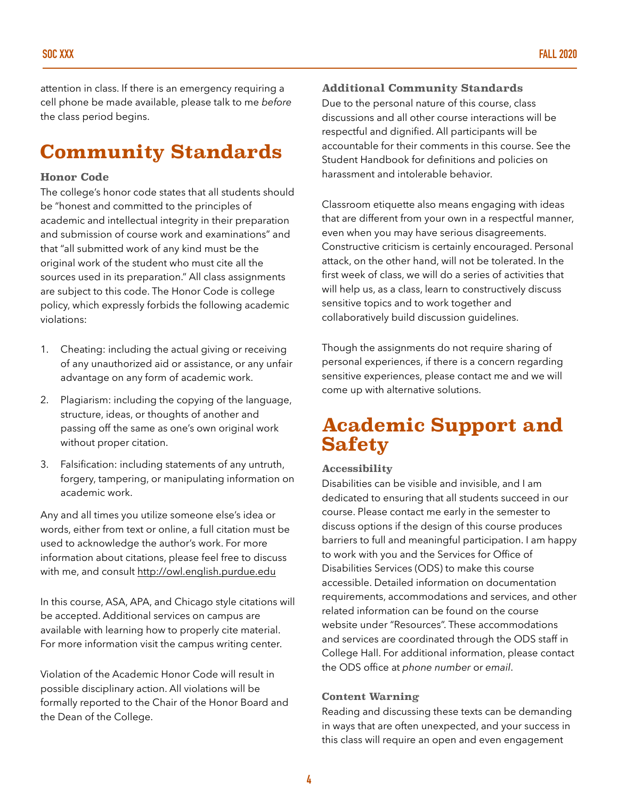attention in class. If there is an emergency requiring a cell phone be made available, please talk to me *before*  the class period begins.

## **Community Standards**

#### **Honor Code**

The college's honor code states that all students should be "honest and committed to the principles of academic and intellectual integrity in their preparation and submission of course work and examinations" and that "all submitted work of any kind must be the original work of the student who must cite all the sources used in its preparation." All class assignments are subject to this code. The Honor Code is college policy, which expressly forbids the following academic violations:

- 1. Cheating: including the actual giving or receiving of any unauthorized aid or assistance, or any unfair advantage on any form of academic work.
- 2. Plagiarism: including the copying of the language, structure, ideas, or thoughts of another and passing off the same as one's own original work without proper citation.
- 3. Falsification: including statements of any untruth, forgery, tampering, or manipulating information on academic work.

Any and all times you utilize someone else's idea or words, either from text or online, a full citation must be used to acknowledge the author's work. For more information about citations, please feel free to discuss with me, and consult<http://owl.english.purdue.edu>

In this course, ASA, APA, and Chicago style citations will be accepted. Additional services on campus are available with learning how to properly cite material. For more information visit the campus writing center.

Violation of the Academic Honor Code will result in possible disciplinary action. All violations will be formally reported to the Chair of the Honor Board and the Dean of the College.

#### **Additional Community Standards**

Due to the personal nature of this course, class discussions and all other course interactions will be respectful and dignified. All participants will be accountable for their comments in this course. See the Student Handbook for definitions and policies on harassment and intolerable behavior.

Classroom etiquette also means engaging with ideas that are different from your own in a respectful manner, even when you may have serious disagreements. Constructive criticism is certainly encouraged. Personal attack, on the other hand, will not be tolerated. In the first week of class, we will do a series of activities that will help us, as a class, learn to constructively discuss sensitive topics and to work together and collaboratively build discussion guidelines.

Though the assignments do not require sharing of personal experiences, if there is a concern regarding sensitive experiences, please contact me and we will come up with alternative solutions.

### **Academic Support and Safety**

#### **Accessibility**

Disabilities can be visible and invisible, and I am dedicated to ensuring that all students succeed in our course. Please contact me early in the semester to discuss options if the design of this course produces barriers to full and meaningful participation. I am happy to work with you and the Services for Office of Disabilities Services (ODS) to make this course accessible. Detailed information on documentation requirements, accommodations and services, and other related information can be found on the course website under "Resources". These accommodations and services are coordinated through the ODS staff in College Hall. For additional information, please contact the ODS office at *phone number* or *email*.

#### **Content Warning**

Reading and discussing these texts can be demanding in ways that are often unexpected, and your success in this class will require an open and even engagement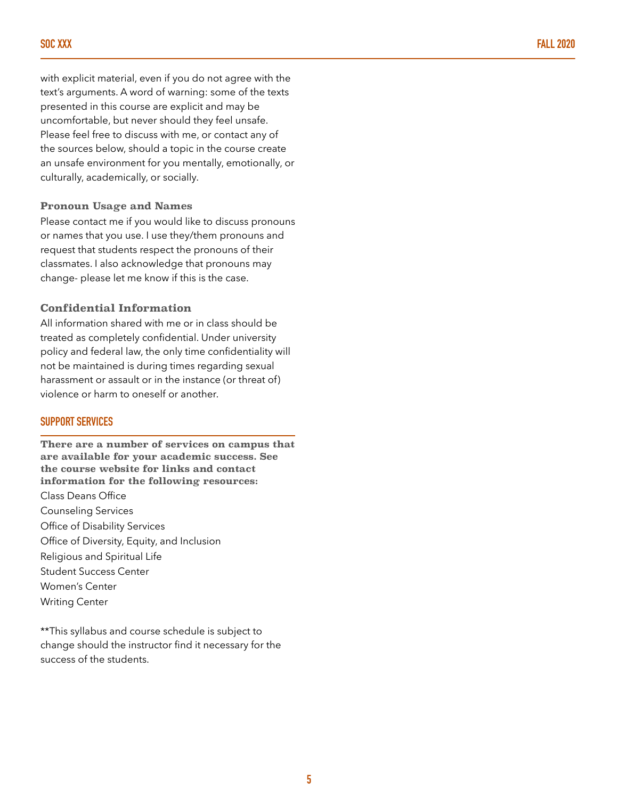with explicit material, even if you do not agree with the text's arguments. A word of warning: some of the texts presented in this course are explicit and may be uncomfortable, but never should they feel unsafe. Please feel free to discuss with me, or contact any of the sources below, should a topic in the course create an unsafe environment for you mentally, emotionally, or culturally, academically, or socially.

#### **Pronoun Usage and Names**

Please contact me if you would like to discuss pronouns or names that you use. I use they/them pronouns and request that students respect the pronouns of their classmates. I also acknowledge that pronouns may change- please let me know if this is the case.

#### **Confidential Information**

All information shared with me or in class should be treated as completely confidential. Under university policy and federal law, the only time confidentiality will not be maintained is during times regarding sexual harassment or assault or in the instance (or threat of) violence or harm to oneself or another.

#### **SUPPORT SERVICES**

**There are a number of services on campus that are available for your academic success. See the course website for links and contact information for the following resources:**  Class Deans Office Counseling Services Office of Disability Services Office of Diversity, Equity, and Inclusion Religious and Spiritual Life Student Success Center Women's Center Writing Center

\*\*This syllabus and course schedule is subject to change should the instructor find it necessary for the success of the students.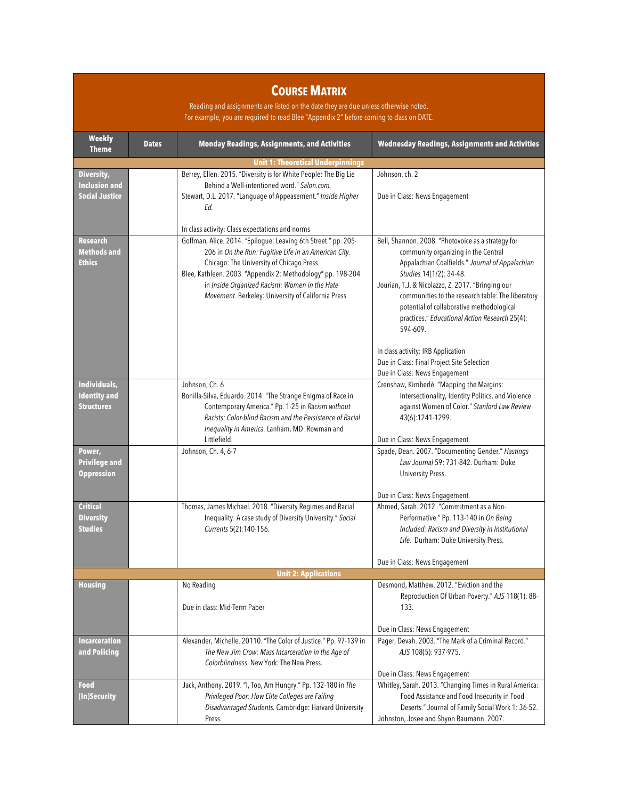### **COURSE MATRIX**

Reading and assignments are listed on the date they are due unless otherwise noted. For example, you are required to read Blee "Appendix 2" before coming to class on DATE.

| <b>Weekly</b><br><b>Theme</b>                            | <b>Dates</b> | <b>Monday Readings, Assignments, and Activities</b>                                                                                                                                                                                                                                                                                         | <b>Wednesday Readings, Assignments and Activities</b>                                                                                                                                                                                                                                                                                                                                                                                                                            |  |  |
|----------------------------------------------------------|--------------|---------------------------------------------------------------------------------------------------------------------------------------------------------------------------------------------------------------------------------------------------------------------------------------------------------------------------------------------|----------------------------------------------------------------------------------------------------------------------------------------------------------------------------------------------------------------------------------------------------------------------------------------------------------------------------------------------------------------------------------------------------------------------------------------------------------------------------------|--|--|
| <b>Unit 1: Theoretical Underpinnings</b>                 |              |                                                                                                                                                                                                                                                                                                                                             |                                                                                                                                                                                                                                                                                                                                                                                                                                                                                  |  |  |
| Diversity,<br><b>Inclusion and</b>                       |              | Berrey, Ellen. 2015. "Diversity is for White People: The Big Lie<br>Behind a Well-intentioned word." Salon.com.                                                                                                                                                                                                                             | Johnson, ch. 2                                                                                                                                                                                                                                                                                                                                                                                                                                                                   |  |  |
| <b>Social Justice</b>                                    |              | Stewart, D.L. 2017. "Language of Appeasement." Inside Higher<br>Ed.<br>In class activity: Class expectations and norms                                                                                                                                                                                                                      | Due in Class: News Engagement                                                                                                                                                                                                                                                                                                                                                                                                                                                    |  |  |
| <b>Research</b><br><b>Methods and</b><br><b>Ethics</b>   |              | Goffman, Alice. 2014. "Epilogue: Leaving 6th Street." pp. 205-<br>206 in On the Run: Fugitive Life in an American City.<br>Chicago: The University of Chicago Press.<br>Blee, Kathleen. 2003. "Appendix 2: Methodology" pp. 198-204<br>in Inside Organized Racism: Women in the Hate<br>Movement. Berkeley: University of California Press. | Bell, Shannon. 2008. "Photovoice as a strategy for<br>community organizing in the Central<br>Appalachian Coalfields." Journal of Appalachian<br>Studies 14(1/2): 34-48.<br>Jourian, T.J. & Nicolazzo, Z. 2017. "Bringing our<br>communities to the research table: The liberatory<br>potential of collaborative methodological<br>practices." Educational Action Research 25(4):<br>594-609.<br>In class activity: IRB Application<br>Due in Class: Final Project Site Selection |  |  |
|                                                          |              |                                                                                                                                                                                                                                                                                                                                             | Due in Class: News Engagement                                                                                                                                                                                                                                                                                                                                                                                                                                                    |  |  |
| Individuals,<br><b>Identity</b> and<br><b>Structures</b> |              | Johnson, Ch. 6<br>Bonilla-Silva, Eduardo. 2014. "The Strange Enigma of Race in<br>Contemporary America." Pp. 1-25 in Racism without<br>Racists: Color-blind Racism and the Persistence of Racial<br>Inequality in America. Lanham, MD: Rowman and<br>Littlefield.                                                                           | Crenshaw, Kimberlé. "Mapping the Margins:<br>Intersectionality, Identity Politics, and Violence<br>against Women of Color." Stanford Law Review<br>43(6):1241-1299.<br>Due in Class: News Engagement                                                                                                                                                                                                                                                                             |  |  |
| Power,<br><b>Privilege and</b><br><b>Oppression</b>      |              | Johnson, Ch. 4, 6-7                                                                                                                                                                                                                                                                                                                         | Spade, Dean. 2007. "Documenting Gender." Hastings<br>Law Journal 59: 731-842. Durham: Duke<br>University Press.                                                                                                                                                                                                                                                                                                                                                                  |  |  |
|                                                          |              |                                                                                                                                                                                                                                                                                                                                             | Due in Class: News Engagement                                                                                                                                                                                                                                                                                                                                                                                                                                                    |  |  |
| <b>Critical</b><br><b>Diversity</b><br><b>Studies</b>    |              | Thomas, James Michael. 2018. "Diversity Regimes and Racial<br>Inequality: A case study of Diversity University." Social<br>Currents 5(2):140-156.                                                                                                                                                                                           | Ahmed, Sarah, 2012. "Commitment as a Non-<br>Performative." Pp. 113-140 in On Being<br>Included: Racism and Diversity in Institutional<br>Life. Durham: Duke University Press.                                                                                                                                                                                                                                                                                                   |  |  |
|                                                          |              |                                                                                                                                                                                                                                                                                                                                             | Due in Class: News Engagement                                                                                                                                                                                                                                                                                                                                                                                                                                                    |  |  |
|                                                          |              | <b>Unit 2: Applications</b>                                                                                                                                                                                                                                                                                                                 |                                                                                                                                                                                                                                                                                                                                                                                                                                                                                  |  |  |
| <b>Housing</b>                                           |              | No Reading<br>Due in class: Mid-Term Paper                                                                                                                                                                                                                                                                                                  | Desmond, Matthew. 2012. "Eviction and the<br>Reproduction Of Urban Poverty." AJS 118(1): 88-<br>133.<br>Due in Class: News Engagement                                                                                                                                                                                                                                                                                                                                            |  |  |
| <b>Incarceration</b>                                     |              | Alexander, Michelle. 20110. "The Color of Justice." Pp. 97-139 in                                                                                                                                                                                                                                                                           | Pager, Devah. 2003. "The Mark of a Criminal Record."                                                                                                                                                                                                                                                                                                                                                                                                                             |  |  |
| and Policing                                             |              | The New Jim Crow: Mass Incarceration in the Age of<br>Colorblindness. New York: The New Press.                                                                                                                                                                                                                                              | AJS 108(5): 937-975.<br>Due in Class: News Engagement                                                                                                                                                                                                                                                                                                                                                                                                                            |  |  |
| Food<br>(In)Security                                     |              | Jack, Anthony. 2019. "I, Too, Am Hungry." Pp. 132-180 in The<br>Privileged Poor: How Elite Colleges are Failing<br>Disadvantaged Students. Cambridge: Harvard University<br>Press.                                                                                                                                                          | Whitley, Sarah. 2013. "Changing Times in Rural America:<br>Food Assistance and Food Insecurity in Food<br>Deserts." Journal of Family Social Work 1: 36-52.<br>Johnston, Josee and Shyon Baumann. 2007.                                                                                                                                                                                                                                                                          |  |  |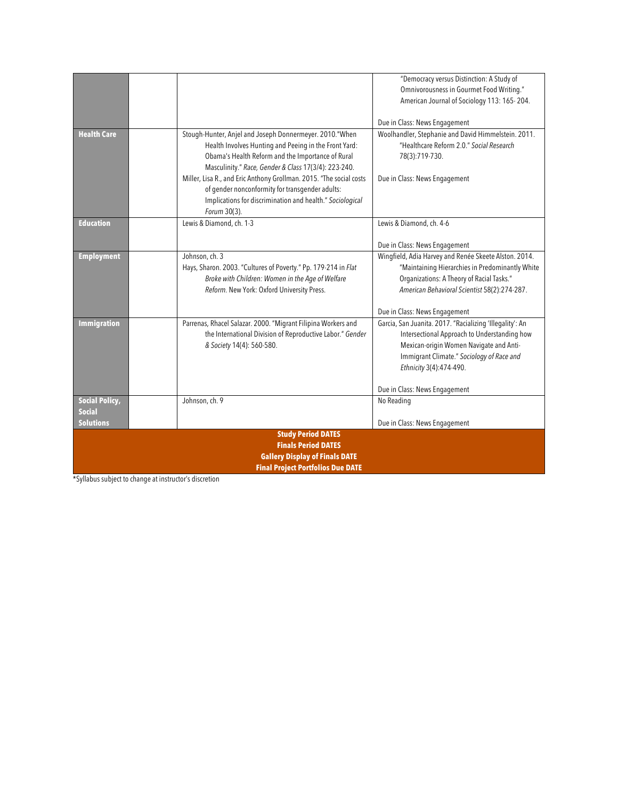|                                          |                                                                                                                                                                                                     | "Democracy versus Distinction: A Study of<br>Omnivorousness in Gourmet Food Writing."<br>American Journal of Sociology 113: 165-204. |  |  |
|------------------------------------------|-----------------------------------------------------------------------------------------------------------------------------------------------------------------------------------------------------|--------------------------------------------------------------------------------------------------------------------------------------|--|--|
|                                          |                                                                                                                                                                                                     |                                                                                                                                      |  |  |
|                                          |                                                                                                                                                                                                     | Due in Class: News Engagement                                                                                                        |  |  |
| <b>Health Care</b>                       | Stough-Hunter, Anjel and Joseph Donnermeyer. 2010."When<br>Health Involves Hunting and Peeing in the Front Yard:<br>Obama's Health Reform and the Importance of Rural                               | Woolhandler, Stephanie and David Himmelstein. 2011.<br>"Healthcare Reform 2.0." Social Research<br>78(3):719-730.                    |  |  |
|                                          | Masculinity." Race, Gender & Class 17(3/4): 223-240.                                                                                                                                                |                                                                                                                                      |  |  |
|                                          | Miller, Lisa R., and Eric Anthony Grollman. 2015. "The social costs<br>of gender nonconformity for transgender adults:<br>Implications for discrimination and health." Sociological<br>Forum 30(3). | Due in Class: News Engagement                                                                                                        |  |  |
| <b>Education</b>                         | Lewis & Diamond, ch. 1-3                                                                                                                                                                            | Lewis & Diamond, ch. 4-6                                                                                                             |  |  |
|                                          |                                                                                                                                                                                                     |                                                                                                                                      |  |  |
|                                          |                                                                                                                                                                                                     | Due in Class: News Engagement                                                                                                        |  |  |
| <b>Employment</b>                        | Johnson, ch. 3                                                                                                                                                                                      | Wingfield, Adia Harvey and Renée Skeete Alston. 2014.                                                                                |  |  |
|                                          | Hays, Sharon. 2003. "Cultures of Poverty." Pp. 179-214 in Flat                                                                                                                                      | "Maintaining Hierarchies in Predominantly White                                                                                      |  |  |
|                                          | Broke with Children: Women in the Age of Welfare                                                                                                                                                    | Organizations: A Theory of Racial Tasks."                                                                                            |  |  |
|                                          | Reform. New York: Oxford University Press.                                                                                                                                                          | American Behavioral Scientist 58(2):274-287.                                                                                         |  |  |
|                                          |                                                                                                                                                                                                     | Due in Class: News Engagement                                                                                                        |  |  |
| <b>Immigration</b>                       | Parrenas, Rhacel Salazar. 2000. "Migrant Filipina Workers and                                                                                                                                       | Garcia, San Juanita. 2017. "Racializing 'Illegality': An                                                                             |  |  |
|                                          | the International Division of Reproductive Labor." Gender                                                                                                                                           | Intersectional Approach to Understanding how                                                                                         |  |  |
|                                          | & Society 14(4): 560-580.                                                                                                                                                                           | Mexican-origin Women Navigate and Anti-                                                                                              |  |  |
|                                          |                                                                                                                                                                                                     | Immigrant Climate." Sociology of Race and                                                                                            |  |  |
|                                          |                                                                                                                                                                                                     | Ethnicity 3(4):474-490.                                                                                                              |  |  |
|                                          |                                                                                                                                                                                                     | Due in Class: News Engagement                                                                                                        |  |  |
| <b>Social Policy,</b>                    | Johnson, ch. 9                                                                                                                                                                                      | No Reading                                                                                                                           |  |  |
| <b>Social</b>                            |                                                                                                                                                                                                     |                                                                                                                                      |  |  |
| <b>Solutions</b>                         |                                                                                                                                                                                                     | Due in Class: News Engagement                                                                                                        |  |  |
|                                          | <b>Study Period DATES</b><br><b>Finals Period DATES</b>                                                                                                                                             |                                                                                                                                      |  |  |
| <b>Gallery Display of Finals DATE</b>    |                                                                                                                                                                                                     |                                                                                                                                      |  |  |
| <b>Final Project Portfolios Due DATE</b> |                                                                                                                                                                                                     |                                                                                                                                      |  |  |
|                                          |                                                                                                                                                                                                     |                                                                                                                                      |  |  |

\*Syllabus subject to change at instructor's discretion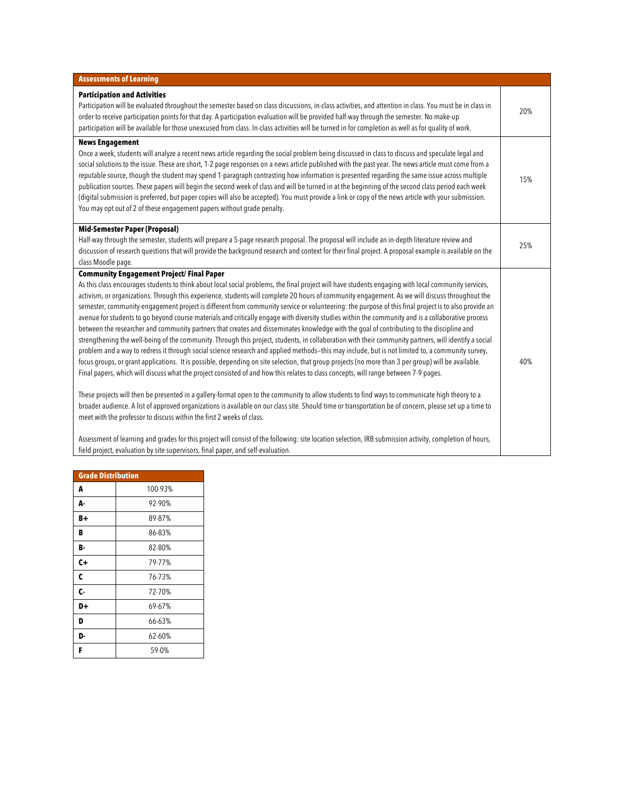| <b>Assessments of Learning</b>                                                                                                                                                                                                                                                                                                                                                                                                                                                                                                                                                                                                                                                                                                                                                                                                                                                                                                                                                                                                                                                                                                                                                                                                                                                                                                                                                                                                                                                                                                                                                                                                                                                                                                                                                                                                                                                                                                                                                                                                                                          |     |
|-------------------------------------------------------------------------------------------------------------------------------------------------------------------------------------------------------------------------------------------------------------------------------------------------------------------------------------------------------------------------------------------------------------------------------------------------------------------------------------------------------------------------------------------------------------------------------------------------------------------------------------------------------------------------------------------------------------------------------------------------------------------------------------------------------------------------------------------------------------------------------------------------------------------------------------------------------------------------------------------------------------------------------------------------------------------------------------------------------------------------------------------------------------------------------------------------------------------------------------------------------------------------------------------------------------------------------------------------------------------------------------------------------------------------------------------------------------------------------------------------------------------------------------------------------------------------------------------------------------------------------------------------------------------------------------------------------------------------------------------------------------------------------------------------------------------------------------------------------------------------------------------------------------------------------------------------------------------------------------------------------------------------------------------------------------------------|-----|
|                                                                                                                                                                                                                                                                                                                                                                                                                                                                                                                                                                                                                                                                                                                                                                                                                                                                                                                                                                                                                                                                                                                                                                                                                                                                                                                                                                                                                                                                                                                                                                                                                                                                                                                                                                                                                                                                                                                                                                                                                                                                         |     |
| <b>Participation and Activities</b><br>Participation will be evaluated throughout the semester based on class discussions, in-class activities, and attention in class. You must be in class in<br>order to receive participation points for that day. A participation evaluation will be provided half-way through the semester. No make-up<br>participation will be available for those unexcused from class. In-class activities will be turned in for completion as well as for quality of work.                                                                                                                                                                                                                                                                                                                                                                                                                                                                                                                                                                                                                                                                                                                                                                                                                                                                                                                                                                                                                                                                                                                                                                                                                                                                                                                                                                                                                                                                                                                                                                    | 20% |
| <b>News Engagement</b><br>Once a week, students will analyze a recent news article regarding the social problem being discussed in class to discuss and speculate legal and<br>social solutions to the issue. These are short, 1-2 page responses on a news article published with the past year. The news article must come from a<br>reputable source, though the student may spend 1-paragraph contrasting how information is presented regarding the same issue across multiple<br>publication sources. These papers will begin the second week of class and will be turned in at the beginning of the second class period each week<br>(digital submission is preferred, but paper copies will also be accepted). You must provide a link or copy of the news article with your submission.<br>You may opt out of 2 of these engagement papers without grade penalty.                                                                                                                                                                                                                                                                                                                                                                                                                                                                                                                                                                                                                                                                                                                                                                                                                                                                                                                                                                                                                                                                                                                                                                                              | 15% |
| <b>Mid-Semester Paper (Proposal)</b><br>Half-way through the semester, students will prepare a 5-page research proposal. The proposal will include an in-depth literature review and<br>discussion of research questions that will provide the background research and context for their final project. A proposal example is available on the<br>class Moodle page.                                                                                                                                                                                                                                                                                                                                                                                                                                                                                                                                                                                                                                                                                                                                                                                                                                                                                                                                                                                                                                                                                                                                                                                                                                                                                                                                                                                                                                                                                                                                                                                                                                                                                                    | 25% |
| <b>Community Engagement Project/ Final Paper</b><br>As this class encourages students to think about local social problems, the final project will have students engaging with local community services,<br>activism, or organizations. Through this experience, students will complete 20 hours of community engagement. As we will discuss throughout the<br>semester, community-engagement project is different from community service or volunteering: the purpose of this final project is to also provide an<br>avenue for students to go beyond course materials and critically engage with diversity studies within the community and is a collaborative process<br>between the researcher and community partners that creates and disseminates knowledge with the goal of contributing to the discipline and<br>strengthening the well-being of the community. Through this project, students, in collaboration with their community partners, will identify a social<br>problem and a way to redress it through social science research and applied methods-this may include, but is not limited to, a community survey,<br>focus groups, or grant applications. It is possible, depending on site selection, that group projects (no more than 3 per group) will be available.<br>Final papers, which will discuss what the project consisted of and how this relates to class concepts, will range between 7-9 pages.<br>These projects will then be presented in a gallery-format open to the community to allow students to find ways to communicate high theory to a<br>broader audience. A list of approved organizations is available on our class site. Should time or transportation be of concern, please set up a time to<br>meet with the professor to discuss within the first 2 weeks of class.<br>Assessment of learning and grades for this project will consist of the following: site location selection, IRB submission activity, completion of hours,<br>field project, evaluation by site supervisors, final paper, and self-evaluation. | 40% |

| <b>Grade Distribution</b> |         |  |
|---------------------------|---------|--|
| A                         | 100-93% |  |
| А-                        | 92-90%  |  |
| B+                        | 89-87%  |  |
| B                         | 86-83%  |  |
| в.                        | 82-80%  |  |
| C+                        | 79-77%  |  |
| C                         | 76-73%  |  |
| C-                        | 72-70%  |  |
| D+                        | 69-67%  |  |
| D                         | 66-63%  |  |
| D-                        | 62-60%  |  |
| F                         | 59-0%   |  |